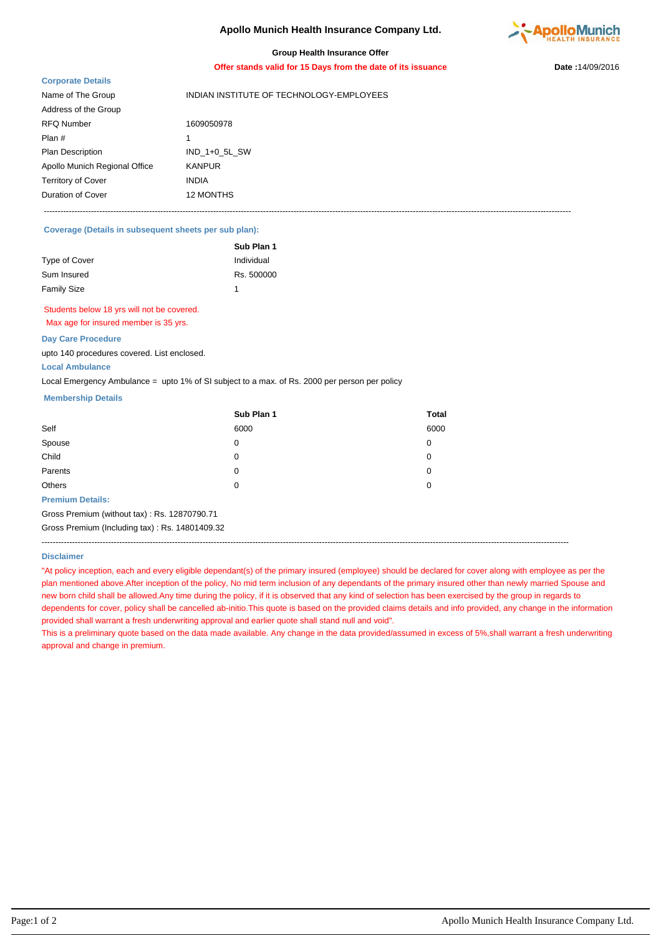# **Apollo Munich Health Insurance Company Ltd.**



## **Group Health Insurance Offer**

**Offer stands valid for 15 Days from the date of its issuance Date :**14/09/2016

## **Corporate Details**

| <b>OUI DUI ALG DUIAIIO</b>    |                                          |
|-------------------------------|------------------------------------------|
| Name of The Group             | INDIAN INSTITUTE OF TECHNOLOGY-EMPLOYEES |
| Address of the Group          |                                          |
| <b>RFQ Number</b>             | 1609050978                               |
| Plan #                        |                                          |
| <b>Plan Description</b>       | IND 1+0 5L SW                            |
| Apollo Munich Regional Office | <b>KANPUR</b>                            |
| <b>Territory of Cover</b>     | <b>INDIA</b>                             |
| Duration of Cover             | 12 MONTHS                                |
|                               |                                          |

----------------------------------------------------------------------------------------------------------------------------------------------------------------------------------------------

# **Coverage (Details in subsequent sheets per sub plan):**

|                    | Sub Plan 1 |
|--------------------|------------|
| Type of Cover      | Individual |
| Sum Insured        | Rs. 500000 |
| <b>Family Size</b> |            |

# Students below 18 yrs will not be covered.

Max age for insured member is 35 yrs.

## **Day Care Procedure**

upto 140 procedures covered. List enclosed.

#### **Local Ambulance**

Local Emergency Ambulance = upto 1% of SI subject to a max. of Rs. 2000 per person per policy

### **Membership Details**

|                         | Sub Plan 1 | <b>Total</b> |
|-------------------------|------------|--------------|
| Self                    | 6000       | 6000         |
| Spouse                  | 0          | 0            |
| Child                   | 0          | 0            |
| Parents                 | 0          | 0            |
| Others                  | 0          | 0            |
| <b>Premium Details:</b> |            |              |

Gross Premium (without tax) : Rs. 12870790.71

Gross Premium (Including tax) : Rs. 14801409.32

----------------------------------------------------------------------------------------------------------------------------------------------------------------------------------------------

#### **Disclaimer**

"At policy inception, each and every eligible dependant(s) of the primary insured (employee) should be declared for cover along with employee as per the plan mentioned above.After inception of the policy, No mid term inclusion of any dependants of the primary insured other than newly married Spouse and new born child shall be allowed.Any time during the policy, if it is observed that any kind of selection has been exercised by the group in regards to dependents for cover, policy shall be cancelled ab-initio.This quote is based on the provided claims details and info provided, any change in the information provided shall warrant a fresh underwriting approval and earlier quote shall stand null and void".

This is a preliminary quote based on the data made available. Any change in the data provided/assumed in excess of 5%,shall warrant a fresh underwriting approval and change in premium.